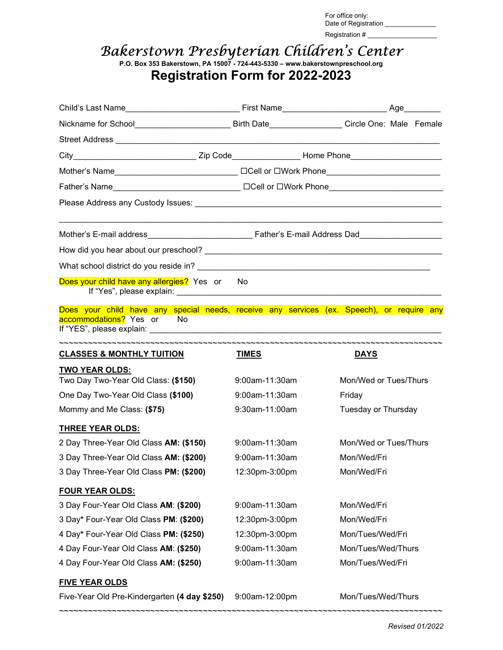For office only: Date of Registration \_\_\_\_\_\_\_\_\_\_\_ Registration # \_\_\_\_\_\_\_\_\_\_\_\_\_\_\_\_\_\_\_

## Bakerstown Presbyterian Children's Center

P.O. Box 353 Bakerstown, PA 15007 - 724-443-5330 – www.bakerstownpreschool.org Registration Form for 2022-2023

| Nickname for School__________________________________Birth Date____________________Circle One: Male Female             |                |                       |  |  |
|------------------------------------------------------------------------------------------------------------------------|----------------|-----------------------|--|--|
|                                                                                                                        |                |                       |  |  |
|                                                                                                                        |                |                       |  |  |
|                                                                                                                        |                |                       |  |  |
|                                                                                                                        |                |                       |  |  |
|                                                                                                                        |                |                       |  |  |
|                                                                                                                        |                |                       |  |  |
|                                                                                                                        |                |                       |  |  |
|                                                                                                                        |                |                       |  |  |
| Does your child have any allergies? Yes or No                                                                          |                |                       |  |  |
| Does your child have any special needs, receive any services (ex. Speech), or require any<br>accommodations? Yes or No |                |                       |  |  |
| <b>CLASSES &amp; MONTHLY TUITION</b>                                                                                   | <b>TIMES</b>   | <b>DAYS</b>           |  |  |
| <b>TWO YEAR OLDS:</b><br>Two Day Two-Year Old Class: (\$150)                                                           | 9:00am-11:30am | Mon/Wed or Tues/Thurs |  |  |
| One Day Two-Year Old Class (\$100)                                                                                     | 9:00am-11:30am | Friday                |  |  |
| Mommy and Me Class: (\$75)                                                                                             | 9:30am-11:00am | Tuesday or Thursday   |  |  |
| <b>THREE YEAR OLDS:</b>                                                                                                |                |                       |  |  |
| 2 Day Three-Year Old Class AM: (\$150)                                                                                 | 9:00am-11:30am | Mon/Wed or Tues/Thurs |  |  |
| 3 Day Three-Year Old Class AM: (\$200)                                                                                 | 9:00am-11:30am | Mon/Wed/Fri           |  |  |
| 3 Day Three-Year Old Class PM: (\$200)                                                                                 | 12:30pm-3:00pm | Mon/Wed/Fri           |  |  |
| <b>FOUR YEAR OLDS:</b>                                                                                                 |                |                       |  |  |
| 3 Day Four-Year Old Class AM: (\$200)                                                                                  | 9:00am-11:30am | Mon/Wed/Fri           |  |  |
| 3 Day* Four-Year Old Class PM: (\$200)                                                                                 | 12:30pm-3:00pm | Mon/Wed/Fri           |  |  |
| 4 Day* Four-Year Old Class PM: (\$250)                                                                                 | 12:30pm-3:00pm | Mon/Tues/Wed/Fri      |  |  |
| 4 Day Four-Year Old Class AM: (\$250)                                                                                  | 9:00am-11:30am | Mon/Tues/Wed/Thurs    |  |  |
| 4 Day Four-Year Old Class AM: (\$250)                                                                                  | 9:00am-11:30am | Mon/Tues/Wed/Fri      |  |  |
| <b>FIVE YEAR OLDS</b>                                                                                                  |                |                       |  |  |
| Five-Year Old Pre-Kindergarten (4 day \$250) 9:00am-12:00pm                                                            |                | Mon/Tues/Wed/Thurs    |  |  |